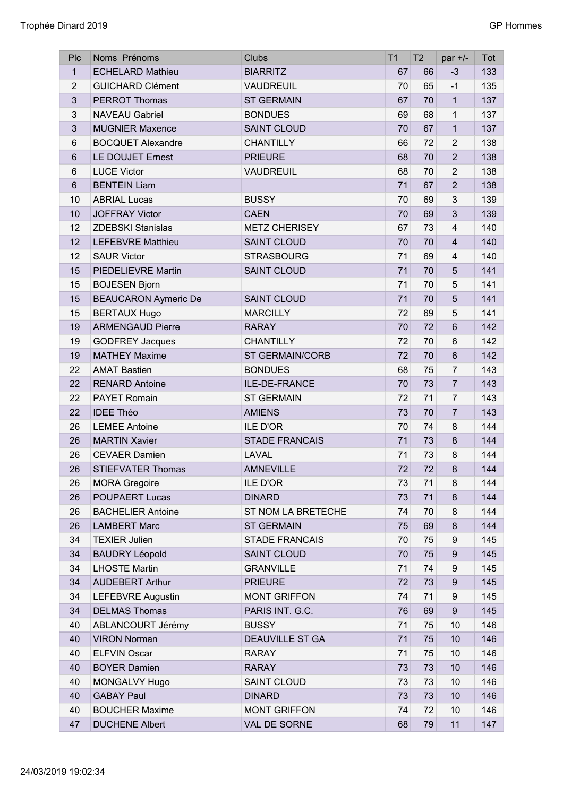| Plc            | Noms Prénoms                | <b>Clubs</b>           | T <sub>1</sub> | T <sub>2</sub> | par $+/-$               | Tot |
|----------------|-----------------------------|------------------------|----------------|----------------|-------------------------|-----|
| $\mathbf{1}$   | <b>ECHELARD Mathieu</b>     | <b>BIARRITZ</b>        | 67             | 66             | $-3$                    | 133 |
| $\overline{2}$ | <b>GUICHARD Clément</b>     | <b>VAUDREUIL</b>       | 70             | 65             | $-1$                    | 135 |
| $\mathbf{3}$   | <b>PERROT Thomas</b>        | <b>ST GERMAIN</b>      | 67             | 70             | $\mathbf{1}$            | 137 |
| 3              | <b>NAVEAU Gabriel</b>       | <b>BONDUES</b>         | 69             | 68             | $\mathbf{1}$            | 137 |
| $\mathbf{3}$   | <b>MUGNIER Maxence</b>      | <b>SAINT CLOUD</b>     | 70             | 67             | $\mathbf{1}$            | 137 |
| 6              | <b>BOCQUET Alexandre</b>    | <b>CHANTILLY</b>       | 66             | 72             | $\overline{2}$          | 138 |
| 6              | LE DOUJET Ernest            | <b>PRIEURE</b>         | 68             | 70             | $\overline{2}$          | 138 |
| 6              | <b>LUCE Victor</b>          | <b>VAUDREUIL</b>       | 68             | 70             | $\overline{2}$          | 138 |
| 6              | <b>BENTEIN Liam</b>         |                        | 71             | 67             | $\overline{2}$          | 138 |
| 10             | <b>ABRIAL Lucas</b>         | <b>BUSSY</b>           | 70             | 69             | 3                       | 139 |
| 10             | <b>JOFFRAY Victor</b>       | <b>CAEN</b>            | 70             | 69             | 3                       | 139 |
| 12             | <b>ZDEBSKI Stanislas</b>    | <b>METZ CHERISEY</b>   | 67             | 73             | $\overline{\mathbf{4}}$ | 140 |
| 12             | <b>LEFEBVRE Matthieu</b>    | <b>SAINT CLOUD</b>     | 70             | 70             | $\overline{4}$          | 140 |
| 12             | <b>SAUR Victor</b>          | <b>STRASBOURG</b>      | 71             | 69             | $\overline{\mathbf{4}}$ | 140 |
| 15             | PIEDELIEVRE Martin          | <b>SAINT CLOUD</b>     | 71             | 70             | 5                       | 141 |
| 15             | <b>BOJESEN Bjorn</b>        |                        | 71             | 70             | 5                       | 141 |
| 15             | <b>BEAUCARON Aymeric De</b> | <b>SAINT CLOUD</b>     | 71             | 70             | 5                       | 141 |
| 15             | <b>BERTAUX Hugo</b>         | <b>MARCILLY</b>        | 72             | 69             | 5                       | 141 |
| 19             | <b>ARMENGAUD Pierre</b>     | <b>RARAY</b>           | 70             | 72             | $6\phantom{1}$          | 142 |
| 19             | <b>GODFREY Jacques</b>      | <b>CHANTILLY</b>       | 72             | 70             | $6\phantom{1}$          | 142 |
| 19             | <b>MATHEY Maxime</b>        | <b>ST GERMAIN/CORB</b> | 72             | 70             | $6\phantom{1}$          | 142 |
| 22             | <b>AMAT Bastien</b>         | <b>BONDUES</b>         | 68             | 75             | $\overline{7}$          | 143 |
| 22             | <b>RENARD Antoine</b>       | ILE-DE-FRANCE          | 70             | 73             | $\overline{7}$          | 143 |
| 22             | <b>PAYET Romain</b>         | <b>ST GERMAIN</b>      |                | 71             |                         | 143 |
|                |                             |                        | 72             |                | $\overline{7}$          |     |
| 22             | <b>IDEE Théo</b>            | <b>AMIENS</b>          | 73             | 70             | $\overline{7}$          | 143 |
| 26             | <b>LEMEE Antoine</b>        | <b>ILE D'OR</b>        | 70             | 74             | 8                       | 144 |
| 26             | <b>MARTIN Xavier</b>        | <b>STADE FRANCAIS</b>  | 71             | 73             | 8                       | 144 |
| 26             | <b>CEVAER Damien</b>        | LAVAL                  | 71             | 73             | 8                       | 144 |
| 26             | <b>STIEFVATER Thomas</b>    | <b>AMNEVILLE</b>       | 72             | 72             | 8                       | 144 |
| 26             | <b>MORA Gregoire</b>        | <b>ILE D'OR</b>        | 73             | 71             | 8                       | 144 |
| 26             | <b>POUPAERT Lucas</b>       | <b>DINARD</b>          | 73             | 71             | 8                       | 144 |
| 26             | <b>BACHELIER Antoine</b>    | ST NOM LA BRETECHE     | 74             | 70             | 8                       | 144 |
| 26             | <b>LAMBERT Marc</b>         | <b>ST GERMAIN</b>      | 75             | 69             | $\bf 8$                 | 144 |
| 34             | <b>TEXIER Julien</b>        | <b>STADE FRANCAIS</b>  | 70             | 75             | 9                       | 145 |
| 34             | <b>BAUDRY Léopold</b>       | <b>SAINT CLOUD</b>     | 70             | 75             | 9                       | 145 |
| 34             | <b>LHOSTE Martin</b>        | <b>GRANVILLE</b>       | 71             | 74             | 9                       | 145 |
| 34             | <b>AUDEBERT Arthur</b>      | <b>PRIEURE</b>         | 72             | 73             | $\boldsymbol{9}$        | 145 |
| 34             | LEFEBVRE Augustin           | <b>MONT GRIFFON</b>    | 74             | 71             | 9                       | 145 |
| 34             | <b>DELMAS Thomas</b>        | PARIS INT. G.C.        | 76             | 69             | 9                       | 145 |
| 40             | ABLANCOURT Jérémy           | <b>BUSSY</b>           | 71             | 75             | 10                      | 146 |
| 40             | <b>VIRON Norman</b>         | <b>DEAUVILLE ST GA</b> | 71             | 75             | 10                      | 146 |
| 40             | <b>ELFVIN Oscar</b>         | <b>RARAY</b>           | 71             | 75             | 10                      | 146 |
| 40             | <b>BOYER Damien</b>         | <b>RARAY</b>           | 73             | 73             | 10                      | 146 |
| 40             | MONGALVY Hugo               | <b>SAINT CLOUD</b>     | 73             | 73             | 10                      | 146 |
| 40             | <b>GABAY Paul</b>           | <b>DINARD</b>          | 73             | 73             | 10                      | 146 |
| 40             | <b>BOUCHER Maxime</b>       | <b>MONT GRIFFON</b>    | 74             | 72             | 10                      | 146 |
| 47             | <b>DUCHENE Albert</b>       | VAL DE SORNE           | 68             | 79             | 11                      | 147 |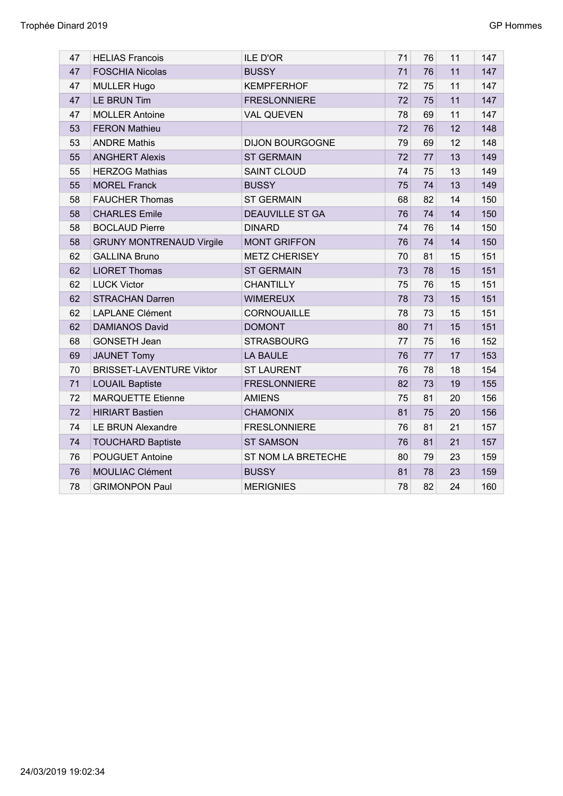| 47 | <b>HELIAS Francois</b>          | <b>ILE D'OR</b>        | 71 | 76 | 11 | 147 |
|----|---------------------------------|------------------------|----|----|----|-----|
| 47 | <b>FOSCHIA Nicolas</b>          | <b>BUSSY</b>           | 71 | 76 | 11 | 147 |
| 47 | <b>MULLER Hugo</b>              | <b>KEMPFERHOF</b>      | 72 | 75 | 11 | 147 |
| 47 | <b>LE BRUN Tim</b>              | <b>FRESLONNIERE</b>    | 72 | 75 | 11 | 147 |
| 47 | <b>MOLLER Antoine</b>           | <b>VAL QUEVEN</b>      | 78 | 69 | 11 | 147 |
| 53 | <b>FERON Mathieu</b>            |                        | 72 | 76 | 12 | 148 |
| 53 | <b>ANDRE Mathis</b>             | <b>DIJON BOURGOGNE</b> | 79 | 69 | 12 | 148 |
| 55 | <b>ANGHERT Alexis</b>           | <b>ST GERMAIN</b>      | 72 | 77 | 13 | 149 |
| 55 | <b>HERZOG Mathias</b>           | <b>SAINT CLOUD</b>     | 74 | 75 | 13 | 149 |
| 55 | <b>MOREL Franck</b>             | <b>BUSSY</b>           | 75 | 74 | 13 | 149 |
| 58 | <b>FAUCHER Thomas</b>           | <b>ST GERMAIN</b>      | 68 | 82 | 14 | 150 |
| 58 | <b>CHARLES Emile</b>            | <b>DEAUVILLE ST GA</b> | 76 | 74 | 14 | 150 |
| 58 | <b>BOCLAUD Pierre</b>           | <b>DINARD</b>          | 74 | 76 | 14 | 150 |
| 58 | <b>GRUNY MONTRENAUD Virgile</b> | <b>MONT GRIFFON</b>    | 76 | 74 | 14 | 150 |
| 62 | <b>GALLINA Bruno</b>            | <b>METZ CHERISEY</b>   | 70 | 81 | 15 | 151 |
| 62 | <b>LIORET Thomas</b>            | <b>ST GERMAIN</b>      | 73 | 78 | 15 | 151 |
| 62 | <b>LUCK Victor</b>              | <b>CHANTILLY</b>       | 75 | 76 | 15 | 151 |
| 62 | <b>STRACHAN Darren</b>          | <b>WIMEREUX</b>        | 78 | 73 | 15 | 151 |
| 62 | <b>LAPLANE Clément</b>          | CORNOUAILLE            | 78 | 73 | 15 | 151 |
| 62 | <b>DAMIANOS David</b>           | <b>DOMONT</b>          | 80 | 71 | 15 | 151 |
| 68 | GONSETH Jean                    | <b>STRASBOURG</b>      | 77 | 75 | 16 | 152 |
| 69 | <b>JAUNET Tomy</b>              | <b>LA BAULE</b>        | 76 | 77 | 17 | 153 |
| 70 | <b>BRISSET-LAVENTURE Viktor</b> | <b>ST LAURENT</b>      | 76 | 78 | 18 | 154 |
| 71 | <b>LOUAIL Baptiste</b>          | <b>FRESLONNIERE</b>    | 82 | 73 | 19 | 155 |
| 72 | <b>MARQUETTE Etienne</b>        | <b>AMIENS</b>          | 75 | 81 | 20 | 156 |
| 72 | <b>HIRIART Bastien</b>          | <b>CHAMONIX</b>        | 81 | 75 | 20 | 156 |
| 74 | <b>LE BRUN Alexandre</b>        | <b>FRESLONNIERE</b>    | 76 | 81 | 21 | 157 |
| 74 | <b>TOUCHARD Baptiste</b>        | <b>ST SAMSON</b>       | 76 | 81 | 21 | 157 |
| 76 | POUGUET Antoine                 | ST NOM LA BRETECHE     | 80 | 79 | 23 | 159 |
| 76 | <b>MOULIAC Clément</b>          | <b>BUSSY</b>           | 81 | 78 | 23 | 159 |
| 78 | <b>GRIMONPON Paul</b>           | <b>MERIGNIES</b>       | 78 | 82 | 24 | 160 |